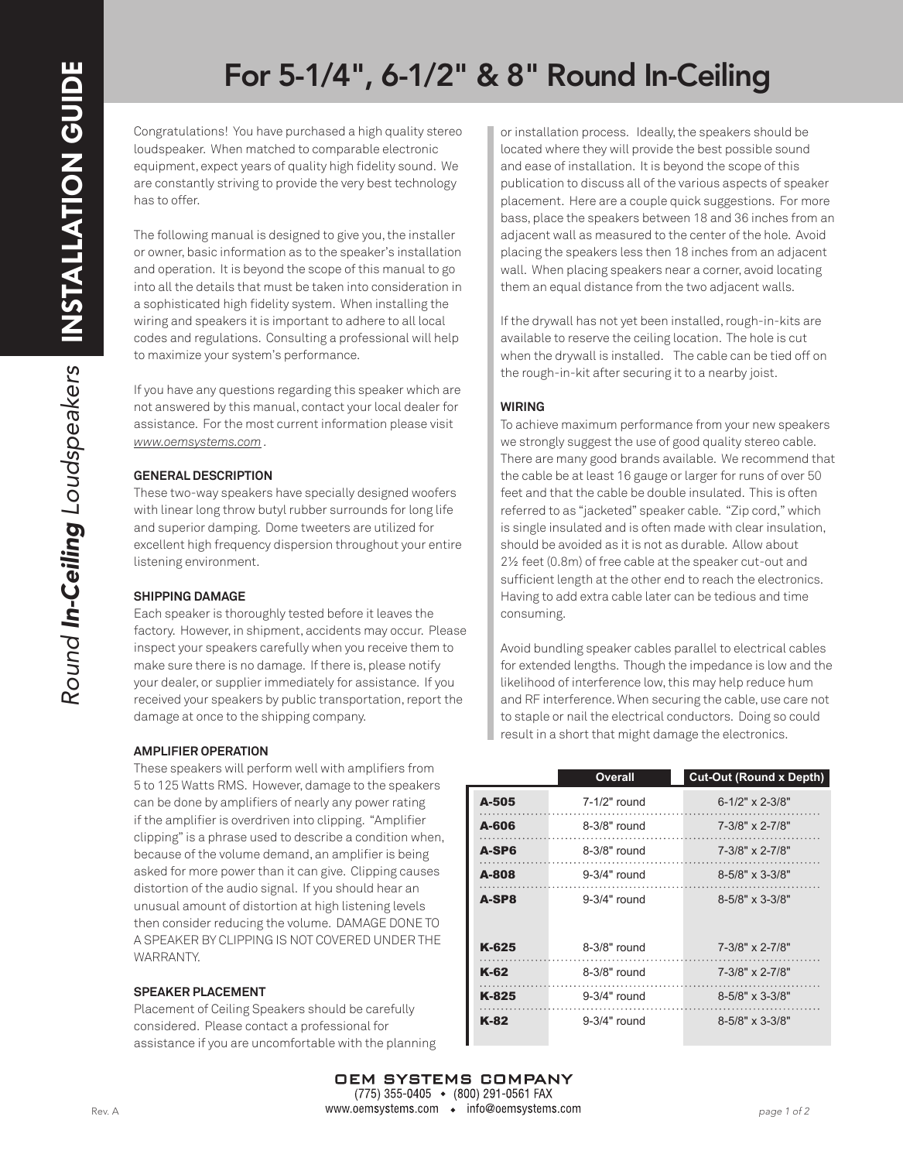## For 5-1/4", 6-1/2" & 8" Round In-Ceiling

Congratulations! You have purchased a high quality stereo loudspeaker. When matched to comparable electronic equipment, expect years of quality high fidelity sound. We are constantly striving to provide the very best technology has to offer.

The following manual is designed to give you, the installer or owner, basic information as to the speaker's installation and operation. It is beyond the scope of this manual to go into all the details that must be taken into consideration in a sophisticated high fidelity system. When installing the wiring and speakers it is important to adhere to all local codes and regulations. Consulting a professional will help to maximize your system's performance.

If you have any questions regarding this speaker which are not answered by this manual, contact your local dealer for assistance. For the most current information please visit *www.oemsystems.com .*

#### **GENERAL DESCRIPTION**

These two-way speakers have specially designed woofers with linear long throw butyl rubber surrounds for long life and superior damping. Dome tweeters are utilized for excellent high frequency dispersion throughout your entire listening environment.

## **SHIPPING DAMAGE**

Each speaker is thoroughly tested before it leaves the factory. However, in shipment, accidents may occur. Please inspect your speakers carefully when you receive them to make sure there is no damage. If there is, please notify your dealer, or supplier immediately for assistance. If you received your speakers by public transportation, report the damage at once to the shipping company.

## **AMPLIFIER OPERATION**

These speakers will perform well with amplifiers from 5 to 125 Watts RMS. However, damage to the speakers can be done by amplifiers of nearly any power rating if the amplifier is overdriven into clipping. "Amplifier clipping" is a phrase used to describe a condition when, because of the volume demand, an amplifier is being asked for more power than it can give. Clipping causes distortion of the audio signal. If you should hear an unusual amount of distortion at high listening levels then consider reducing the volume. DAMAGE DONE TO A SPEAKER BY CLIPPING IS NOT COVERED UNDER THE WARRANTY.

#### **SPEAKER PLACEMENT**

Placement of Ceiling Speakers should be carefully considered. Please contact a professional for assistance if you are uncomfortable with the planning or installation process. Ideally, the speakers should be located where they will provide the best possible sound and ease of installation. It is beyond the scope of this publication to discuss all of the various aspects of speaker placement. Here are a couple quick suggestions. For more bass, place the speakers between 18 and 36 inches from an adjacent wall as measured to the center of the hole. Avoid placing the speakers less then 18 inches from an adjacent wall. When placing speakers near a corner, avoid locating them an equal distance from the two adjacent walls.

If the drywall has not yet been installed, rough-in-kits are available to reserve the ceiling location. The hole is cut when the drywall is installed. The cable can be tied off on the rough-in-kit after securing it to a nearby joist.

#### **WIRING**

To achieve maximum performance from your new speakers we strongly suggest the use of good quality stereo cable. There are many good brands available. We recommend that the cable be at least 16 gauge or larger for runs of over 50 feet and that the cable be double insulated. This is often referred to as "jacketed" speaker cable. "Zip cord," which is single insulated and is often made with clear insulation, should be avoided as it is not as durable. Allow about 2½ feet (0.8m) of free cable at the speaker cut-out and sufficient length at the other end to reach the electronics. Having to add extra cable later can be tedious and time consuming.

Avoid bundling speaker cables parallel to electrical cables for extended lengths. Though the impedance is low and the likelihood of interference low, this may help reduce hum and RF interference. When securing the cable, use care not to staple or nail the electrical conductors. Doing so could result in a short that might damage the electronics.

|       | Overall        | <b>Cut-Out (Round x Depth)</b> |
|-------|----------------|--------------------------------|
| A-505 | 7-1/2" round   | $6-1/2$ " x 2-3/8"             |
| A-606 | 8-3/8" round   | $7 - 3/8" \times 2 - 7/8"$     |
| A-SP6 | 8-3/8" round   | 7-3/8" x 2-7/8"                |
| A-808 | $9-3/4"$ round | $8 - 5/8" \times 3 - 3/8"$     |
| A-SP8 | 9-3/4" round   | $8 - 5/8" \times 3 - 3/8"$     |
|       |                |                                |
| K-625 | 8-3/8" round   | $7 - 3/8" \times 2 - 7/8"$     |
| K-62  | 8-3/8" round   | 7-3/8" x 2-7/8"                |
| K-825 | $9-3/4"$ round | $8 - 5/8" \times 3 - 3/8"$     |
| K-82  | $9-3/4"$ round | $8 - 5/8" \times 3 - 3/8"$     |